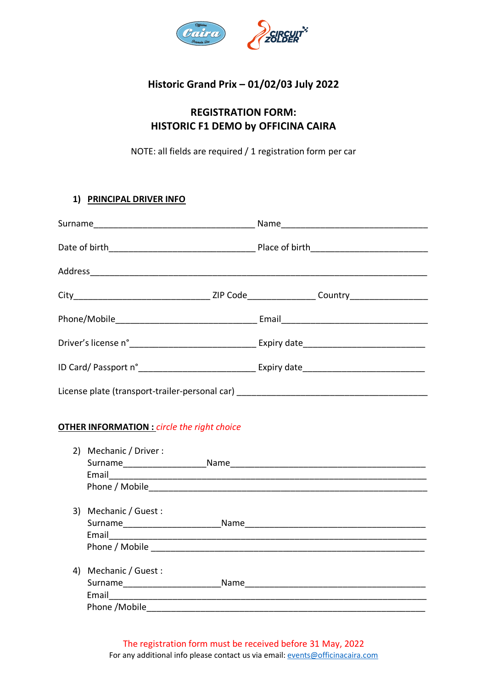

## **Historic Grand Prix – 01/02/03 July 2022**

# **REGISTRATION FORM: HISTORIC F1 DEMO by OFFICINA CAIRA**

NOTE: all fields are required / 1 registration form per car

## **1) PRINCIPAL DRIVER INFO**

| License plate (transport-trailer-personal car) _________________________________ |  |  |
|----------------------------------------------------------------------------------|--|--|

## **OTHER INFORMATION :** *circle the right choice*

| 2) Mechanic / Driver :                                                                                     | Name |
|------------------------------------------------------------------------------------------------------------|------|
| 3) Mechanic / Guest :<br>Surname______________________                                                     | Name |
| 4) Mechanic / Guest :<br>Surname____________________<br>Email <u>____________________</u><br>Phone /Mobile | Name |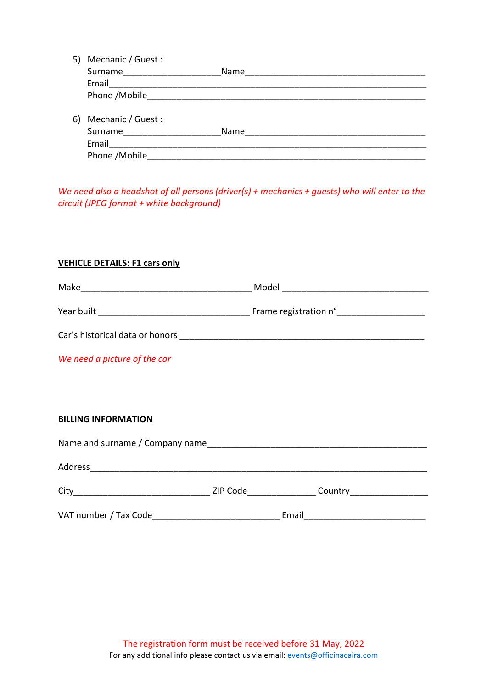| 5) | Mechanic / Guest : |      |
|----|--------------------|------|
|    | Surname            | Name |
|    | Email              |      |
|    | Phone / Mobile     |      |
|    |                    |      |
| 6) | Mechanic / Guest : |      |
|    | Surname            | Name |
|    | Email              |      |

*We need also a headshot of all persons (driver(s) + mechanics + guests) who will enter to the circuit (JPEG format + white background)*

Phone /Mobile\_\_\_\_\_\_\_\_\_\_\_\_\_\_\_\_\_\_\_\_\_\_\_\_\_\_\_\_\_\_\_\_\_\_\_\_\_\_\_\_\_\_\_\_\_\_\_\_\_\_\_\_\_\_\_\_\_

## **VEHICLE DETAILS: F1 cars only**

|                                 | Model ____________________________ |
|---------------------------------|------------------------------------|
|                                 |                                    |
|                                 |                                    |
| We need a picture of the car    |                                    |
|                                 |                                    |
|                                 |                                    |
| <b>BILLING INFORMATION</b>      |                                    |
| Name and surname / Company name |                                    |

| Address               |          |         |  |
|-----------------------|----------|---------|--|
| City                  | ZIP Code | Country |  |
| VAT number / Tax Code |          | Email   |  |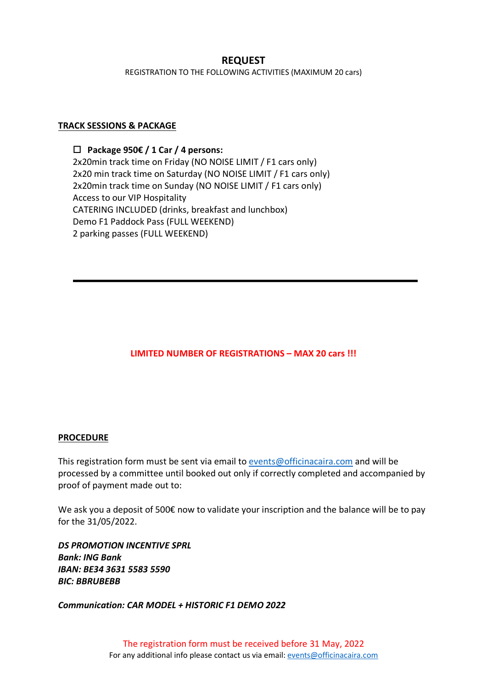## **REQUEST**

REGISTRATION TO THE FOLLOWING ACTIVITIES (MAXIMUM 20 cars)

#### **TRACK SESSIONS & PACKAGE**

o **Package 950€ / 1 Car / 4 persons:**  2x20min track time on Friday (NO NOISE LIMIT / F1 cars only) 2x20 min track time on Saturday (NO NOISE LIMIT / F1 cars only) 2x20min track time on Sunday (NO NOISE LIMIT / F1 cars only) Access to our VIP Hospitality CATERING INCLUDED (drinks, breakfast and lunchbox) Demo F1 Paddock Pass (FULL WEEKEND) 2 parking passes (FULL WEEKEND)

## **LIMITED NUMBER OF REGISTRATIONS – MAX 20 cars !!!**

#### **PROCEDURE**

This registration form must be sent via email to events@officinacaira.com and will be processed by a committee until booked out only if correctly completed and accompanied by proof of payment made out to:

We ask you a deposit of 500€ now to validate your inscription and the balance will be to pay for the 31/05/2022.

*DS PROMOTION INCENTIVE SPRL Bank: ING Bank IBAN: BE34 3631 5583 5590 BIC: BBRUBEBB*

*Communication: CAR MODEL + HISTORIC F1 DEMO 2022*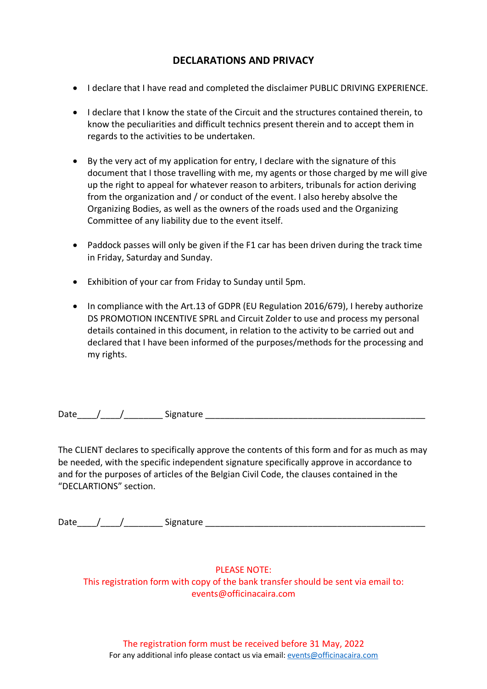## **DECLARATIONS AND PRIVACY**

- I declare that I have read and completed the disclaimer PUBLIC DRIVING EXPERIENCE.
- I declare that I know the state of the Circuit and the structures contained therein, to know the peculiarities and difficult technics present therein and to accept them in regards to the activities to be undertaken.
- By the very act of my application for entry, I declare with the signature of this document that I those travelling with me, my agents or those charged by me will give up the right to appeal for whatever reason to arbiters, tribunals for action deriving from the organization and / or conduct of the event. I also hereby absolve the Organizing Bodies, as well as the owners of the roads used and the Organizing Committee of any liability due to the event itself.
- Paddock passes will only be given if the F1 car has been driven during the track time in Friday, Saturday and Sunday.
- Exhibition of your car from Friday to Sunday until 5pm.
- In compliance with the Art.13 of GDPR (EU Regulation 2016/679), I hereby authorize DS PROMOTION INCENTIVE SPRL and Circuit Zolder to use and process my personal details contained in this document, in relation to the activity to be carried out and declared that I have been informed of the purposes/methods for the processing and my rights.

Date  $\frac{1}{2}$  / Signature  $\frac{1}{2}$  Signature  $\frac{1}{2}$  Signature  $\frac{1}{2}$  Signature  $\frac{1}{2}$  Signature  $\frac{1}{2}$  Signature  $\frac{1}{2}$  Signature  $\frac{1}{2}$  Signature  $\frac{1}{2}$  Signature  $\frac{1}{2}$  Signature  $\frac{1}{2}$  Sign

The CLIENT declares to specifically approve the contents of this form and for as much as may be needed, with the specific independent signature specifically approve in accordance to and for the purposes of articles of the Belgian Civil Code, the clauses contained in the "DECLARTIONS" section.

| $\overline{\phantom{a}}$<br>υa | .<br>. |  |
|--------------------------------|--------|--|
|                                |        |  |

#### PLEASE NOTE:

This registration form with copy of the bank transfer should be sent via email to: events@officinacaira.com